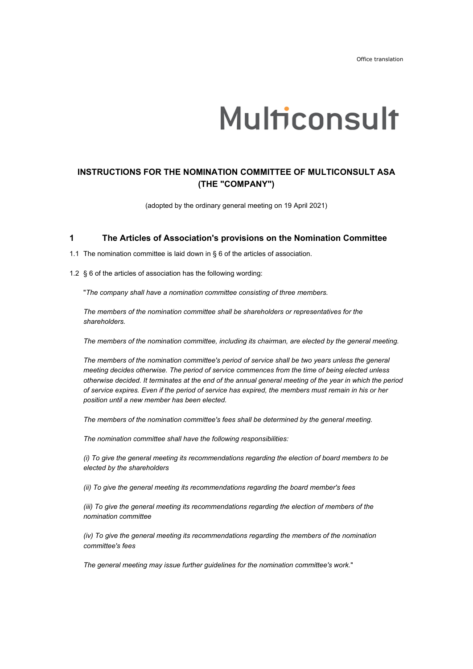# Multiconsult

## **INSTRUCTIONS FOR THE NOMINATION COMMITTEE OF MULTICONSULT ASA (THE "COMPANY")**

(adopted by the ordinary general meeting on 19 April 2021)

#### **1 The Articles of Association's provisions on the Nomination Committee**

1.1 The nomination committee is laid down in § 6 of the articles of association.

1.2 § 6 of the articles of association has the following wording:

"*The company shall have a nomination committee consisting of three members.* 

*The members of the nomination committee shall be shareholders or representatives for the shareholders.* 

*The members of the nomination committee, including its chairman, are elected by the general meeting.* 

*The members of the nomination committee's period of service shall be two years unless the general meeting decides otherwise. The period of service commences from the time of being elected unless otherwise decided. It terminates at the end of the annual general meeting of the year in which the period of service expires. Even if the period of service has expired, the members must remain in his or her position until a new member has been elected.* 

*The members of the nomination committee's fees shall be determined by the general meeting.* 

*The nomination committee shall have the following responsibilities:* 

*(i) To give the general meeting its recommendations regarding the election of board members to be elected by the shareholders* 

*(ii) To give the general meeting its recommendations regarding the board member's fees* 

*(iii) To give the general meeting its recommendations regarding the election of members of the nomination committee* 

*(iv) To give the general meeting its recommendations regarding the members of the nomination committee's fees* 

*The general meeting may issue further guidelines for the nomination committee's work.*"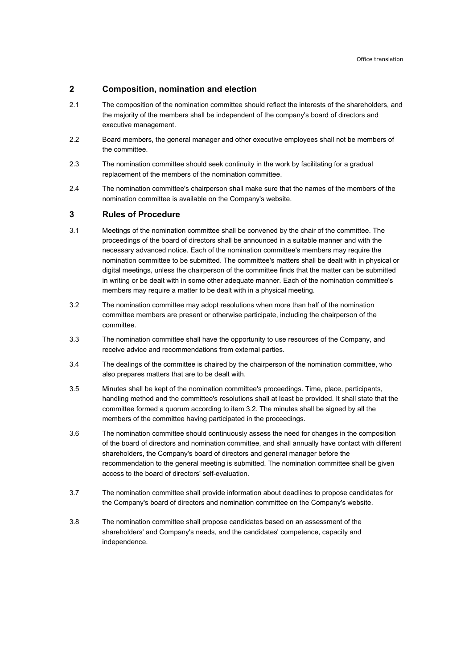## **2 Composition, nomination and election**

- 2.1 The composition of the nomination committee should reflect the interests of the shareholders, and the majority of the members shall be independent of the company's board of directors and executive management.
- 2.2 Board members, the general manager and other executive employees shall not be members of the committee.
- 2.3 The nomination committee should seek continuity in the work by facilitating for a gradual replacement of the members of the nomination committee.
- 2.4 The nomination committee's chairperson shall make sure that the names of the members of the nomination committee is available on the Company's website.

## **3 Rules of Procedure**

- 3.1 Meetings of the nomination committee shall be convened by the chair of the committee. The proceedings of the board of directors shall be announced in a suitable manner and with the necessary advanced notice. Each of the nomination committee's members may require the nomination committee to be submitted. The committee's matters shall be dealt with in physical or digital meetings, unless the chairperson of the committee finds that the matter can be submitted in writing or be dealt with in some other adequate manner. Each of the nomination committee's members may require a matter to be dealt with in a physical meeting.
- 3.2 The nomination committee may adopt resolutions when more than half of the nomination committee members are present or otherwise participate, including the chairperson of the committee.
- 3.3 The nomination committee shall have the opportunity to use resources of the Company, and receive advice and recommendations from external parties.
- 3.4 The dealings of the committee is chaired by the chairperson of the nomination committee, who also prepares matters that are to be dealt with.
- 3.5 Minutes shall be kept of the nomination committee's proceedings. Time, place, participants, handling method and the committee's resolutions shall at least be provided. It shall state that the committee formed a quorum according to item 3.2. The minutes shall be signed by all the members of the committee having participated in the proceedings.
- 3.6 The nomination committee should continuously assess the need for changes in the composition of the board of directors and nomination committee, and shall annually have contact with different shareholders, the Company's board of directors and general manager before the recommendation to the general meeting is submitted. The nomination committee shall be given access to the board of directors' self-evaluation.
- 3.7 The nomination committee shall provide information about deadlines to propose candidates for the Company's board of directors and nomination committee on the Company's website.
- 3.8 The nomination committee shall propose candidates based on an assessment of the shareholders' and Company's needs, and the candidates' competence, capacity and independence.